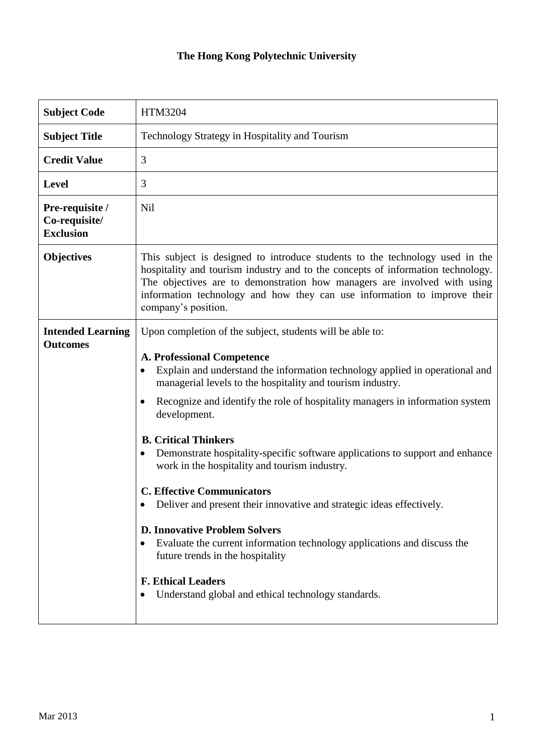## **The Hong Kong Polytechnic University**

| <b>Subject Code</b>                                  | <b>HTM3204</b>                                                                                                                                                                                                                                                                                                                                                                                                                                                                                                                                                                                                                                                                                                                                                                                                                                                                        |
|------------------------------------------------------|---------------------------------------------------------------------------------------------------------------------------------------------------------------------------------------------------------------------------------------------------------------------------------------------------------------------------------------------------------------------------------------------------------------------------------------------------------------------------------------------------------------------------------------------------------------------------------------------------------------------------------------------------------------------------------------------------------------------------------------------------------------------------------------------------------------------------------------------------------------------------------------|
| <b>Subject Title</b>                                 | Technology Strategy in Hospitality and Tourism                                                                                                                                                                                                                                                                                                                                                                                                                                                                                                                                                                                                                                                                                                                                                                                                                                        |
| <b>Credit Value</b>                                  | 3                                                                                                                                                                                                                                                                                                                                                                                                                                                                                                                                                                                                                                                                                                                                                                                                                                                                                     |
| <b>Level</b>                                         | 3                                                                                                                                                                                                                                                                                                                                                                                                                                                                                                                                                                                                                                                                                                                                                                                                                                                                                     |
| Pre-requisite /<br>Co-requisite/<br><b>Exclusion</b> | Nil                                                                                                                                                                                                                                                                                                                                                                                                                                                                                                                                                                                                                                                                                                                                                                                                                                                                                   |
| <b>Objectives</b>                                    | This subject is designed to introduce students to the technology used in the<br>hospitality and tourism industry and to the concepts of information technology.<br>The objectives are to demonstration how managers are involved with using<br>information technology and how they can use information to improve their<br>company's position.                                                                                                                                                                                                                                                                                                                                                                                                                                                                                                                                        |
| <b>Intended Learning</b><br><b>Outcomes</b>          | Upon completion of the subject, students will be able to:<br><b>A. Professional Competence</b><br>Explain and understand the information technology applied in operational and<br>managerial levels to the hospitality and tourism industry.<br>Recognize and identify the role of hospitality managers in information system<br>$\bullet$<br>development.<br><b>B. Critical Thinkers</b><br>Demonstrate hospitality-specific software applications to support and enhance<br>work in the hospitality and tourism industry.<br><b>C. Effective Communicators</b><br>Deliver and present their innovative and strategic ideas effectively.<br><b>D. Innovative Problem Solvers</b><br>Evaluate the current information technology applications and discuss the<br>future trends in the hospitality<br><b>F. Ethical Leaders</b><br>Understand global and ethical technology standards. |